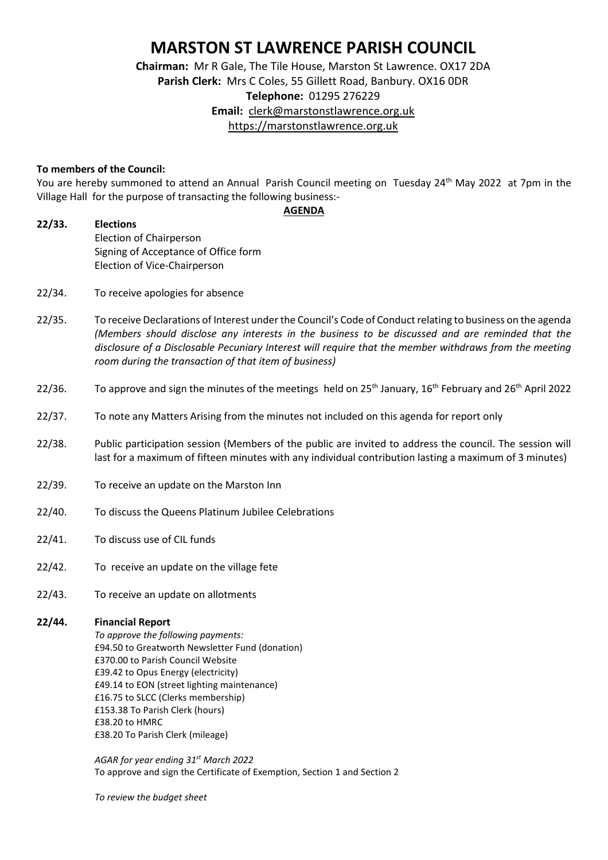## **MARSTON ST LAWRENCE PARISH COUNCIL**

**Chairman:** Mr R Gale, The Tile House, Marston St Lawrence. OX17 2DA **Parish Clerk:** Mrs C Coles, 55 Gillett Road, Banbury. OX16 0DR **Telephone:** 01295 276229 **Email:** [clerk@marstonstlawrence.org.uk](mailto:clerk@marstonstlawrence.org.uk) [https://marstonstlawrence.org.uk](https://marstonstlawrence.org.uk/)

## **To members of the Council:**

You are hereby summoned to attend an Annual Parish Council meeting on Tuesday 24<sup>th</sup> May 2022 at 7pm in the Village Hall for the purpose of transacting the following business:- **AGENDA**

**22/33. Elections** Election of Chairperson Signing of Acceptance of Office form Election of Vice-Chairperson

- 22/34. To receive apologies for absence
- 22/35. To receive Declarations of Interest underthe Council's Code of Conduct relating to business on the agenda *(Members should disclose any interests in the business to be discussed and are reminded that the disclosure of a Disclosable Pecuniary Interest will require that the member withdraws from the meeting room during the transaction of that item of business)*
- 22/36. To approve and sign the minutes of the meetings held on  $25<sup>th</sup>$  January,  $16<sup>th</sup>$  February and  $26<sup>th</sup>$  April 2022
- 22/37. To note any Matters Arising from the minutes not included on this agenda for report only
- 22/38. Public participation session (Members of the public are invited to address the council. The session will last for a maximum of fifteen minutes with any individual contribution lasting a maximum of 3 minutes)
- 22/39. To receive an update on the Marston Inn
- 22/40. To discuss the Queens Platinum Jubilee Celebrations
- 22/41. To discuss use of CIL funds
- 22/42. To receive an update on the village fete
- 22/43. To receive an update on allotments

## **22/44. Financial Report**

*To approve the following payments:*  £94.50 to Greatworth Newsletter Fund (donation) £370.00 to Parish Council Website £39.42 to Opus Energy (electricity) £49.14 to EON (street lighting maintenance) £16.75 to SLCC (Clerks membership) £153.38 To Parish Clerk (hours) £38.20 to HMRC £38.20 To Parish Clerk (mileage)

*AGAR for year ending 31st March 2022* To approve and sign the Certificate of Exemption, Section 1 and Section 2

*To review the budget sheet*